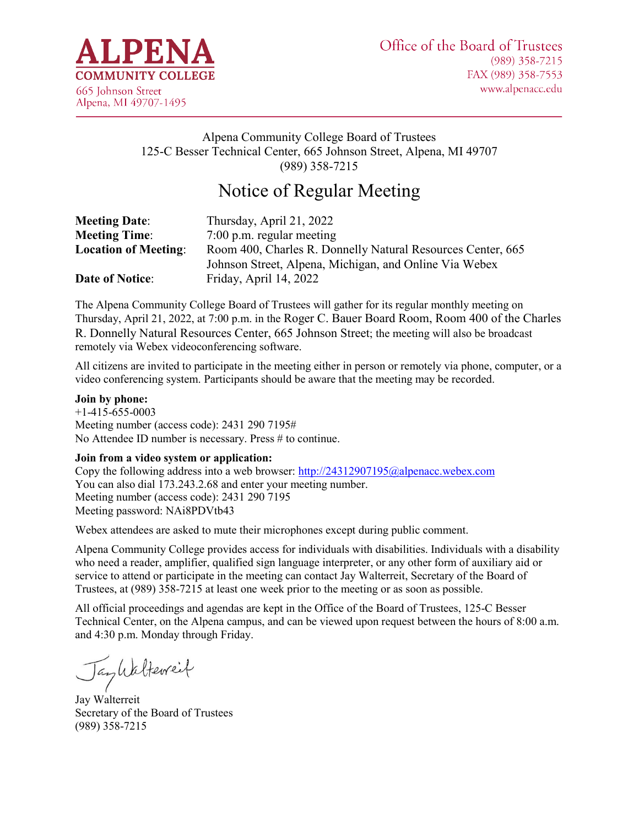

# Alpena Community College Board of Trustees 125-C Besser Technical Center, 665 Johnson Street, Alpena, MI 49707 (989) 358-7215

# Notice of Regular Meeting

| <b>Meeting Date:</b>        | Thursday, April 21, 2022                                    |
|-----------------------------|-------------------------------------------------------------|
| <b>Meeting Time:</b>        | $7:00$ p.m. regular meeting                                 |
| <b>Location of Meeting:</b> | Room 400, Charles R. Donnelly Natural Resources Center, 665 |
|                             | Johnson Street, Alpena, Michigan, and Online Via Webex      |
| <b>Date of Notice:</b>      | Friday, April 14, 2022                                      |

The Alpena Community College Board of Trustees will gather for its regular monthly meeting on Thursday, April 21, 2022, at 7:00 p.m. in the Roger C. Bauer Board Room, Room 400 of the Charles R. Donnelly Natural Resources Center, 665 Johnson Street; the meeting will also be broadcast remotely via Webex videoconferencing software.

All citizens are invited to participate in the meeting either in person or remotely via phone, computer, or a video conferencing system. Participants should be aware that the meeting may be recorded.

#### **Join by phone:**

+1-415-655-0003 Meeting number (access code): 2431 290 7195# No Attendee ID number is necessary. Press # to continue.

#### **Join from a video system or application:**

Copy the following address into a web browser:<http://24312907195@alpenacc.webex.com> You can also dial 173.243.2.68 and enter your meeting number. Meeting number (access code): 2431 290 7195 Meeting password: NAi8PDVtb43

Webex attendees are asked to mute their microphones except during public comment.

Alpena Community College provides access for individuals with disabilities. Individuals with a disability who need a reader, amplifier, qualified sign language interpreter, or any other form of auxiliary aid or service to attend or participate in the meeting can contact Jay Walterreit, Secretary of the Board of Trustees, at (989) 358-7215 at least one week prior to the meeting or as soon as possible.

All official proceedings and agendas are kept in the Office of the Board of Trustees, 125-C Besser Technical Center, on the Alpena campus, and can be viewed upon request between the hours of 8:00 a.m. and 4:30 p.m. Monday through Friday.

Jankalterreit

Jay Walterreit Secretary of the Board of Trustees (989) 358-7215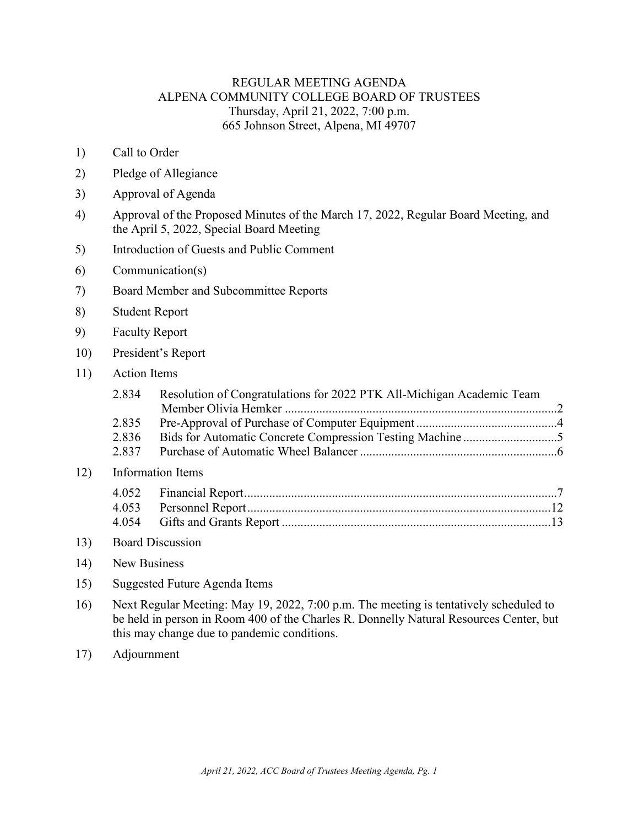### REGULAR MEETING AGENDA ALPENA COMMUNITY COLLEGE BOARD OF TRUSTEES Thursday, April 21, 2022, 7:00 p.m. 665 Johnson Street, Alpena, MI 49707

- 1) Call to Order
- 2) Pledge of Allegiance
- 3) Approval of Agenda
- 4) Approval of the Proposed Minutes of the March 17, 2022, Regular Board Meeting, and the April 5, 2022, Special Board Meeting
- 5) Introduction of Guests and Public Comment
- 6) Communication(s)
- 7) Board Member and Subcommittee Reports
- 8) Student Report
- 9) Faculty Report
- 10) President's Report
- 11) Action Items

 $12)$ 

| 2.834 | Resolution of Congratulations for 2022 PTK All-Michigan Academic Team |  |
|-------|-----------------------------------------------------------------------|--|
|       |                                                                       |  |
| 2.835 |                                                                       |  |
| 2.836 |                                                                       |  |
| 2.837 |                                                                       |  |
|       | Information Items                                                     |  |
| 4.052 |                                                                       |  |
|       |                                                                       |  |
| 4.054 |                                                                       |  |
|       |                                                                       |  |

- 13) Board Discussion
- 14) New Business
- 15) Suggested Future Agenda Items
- 16) Next Regular Meeting: May 19, 2022, 7:00 p.m. The meeting is tentatively scheduled to be held in person in Room 400 of the Charles R. Donnelly Natural Resources Center, but this may change due to pandemic conditions.
- 17) Adjournment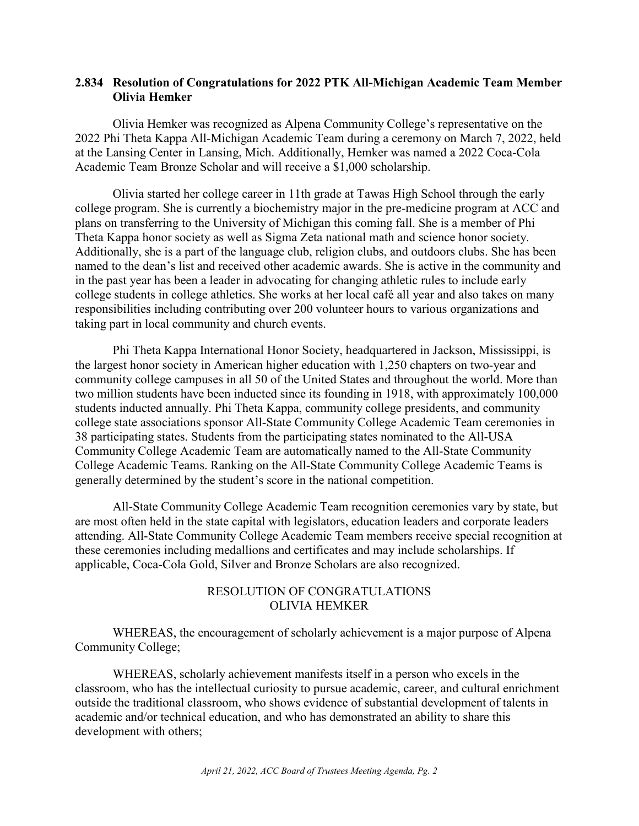### <span id="page-2-0"></span>**2.834 Resolution of Congratulations for 2022 PTK All-Michigan Academic Team Member Olivia Hemker**

Olivia Hemker was recognized as Alpena Community College's representative on the 2022 Phi Theta Kappa All-Michigan Academic Team during a ceremony on March 7, 2022, held at the Lansing Center in Lansing, Mich. Additionally, Hemker was named a 2022 Coca-Cola Academic Team Bronze Scholar and will receive a \$1,000 scholarship.

Olivia started her college career in 11th grade at Tawas High School through the early college program. She is currently a biochemistry major in the pre-medicine program at ACC and plans on transferring to the University of Michigan this coming fall. She is a member of Phi Theta Kappa honor society as well as Sigma Zeta national math and science honor society. Additionally, she is a part of the language club, religion clubs, and outdoors clubs. She has been named to the dean's list and received other academic awards. She is active in the community and in the past year has been a leader in advocating for changing athletic rules to include early college students in college athletics. She works at her local café all year and also takes on many responsibilities including contributing over 200 volunteer hours to various organizations and taking part in local community and church events.

Phi Theta Kappa International Honor Society, headquartered in Jackson, Mississippi, is the largest honor society in American higher education with 1,250 chapters on two-year and community college campuses in all 50 of the United States and throughout the world. More than two million students have been inducted since its founding in 1918, with approximately 100,000 students inducted annually. Phi Theta Kappa, community college presidents, and community college state associations sponsor All-State Community College Academic Team ceremonies in 38 participating states. Students from the participating states nominated to the All-USA Community College Academic Team are automatically named to the All-State Community College Academic Teams. Ranking on the All-State Community College Academic Teams is generally determined by the student's score in the national competition.

All-State Community College Academic Team recognition ceremonies vary by state, but are most often held in the state capital with legislators, education leaders and corporate leaders attending. All-State Community College Academic Team members receive special recognition at these ceremonies including medallions and certificates and may include scholarships. If applicable, Coca-Cola Gold, Silver and Bronze Scholars are also recognized.

## RESOLUTION OF CONGRATULATIONS OLIVIA HEMKER

WHEREAS, the encouragement of scholarly achievement is a major purpose of Alpena Community College;

WHEREAS, scholarly achievement manifests itself in a person who excels in the classroom, who has the intellectual curiosity to pursue academic, career, and cultural enrichment outside the traditional classroom, who shows evidence of substantial development of talents in academic and/or technical education, and who has demonstrated an ability to share this development with others;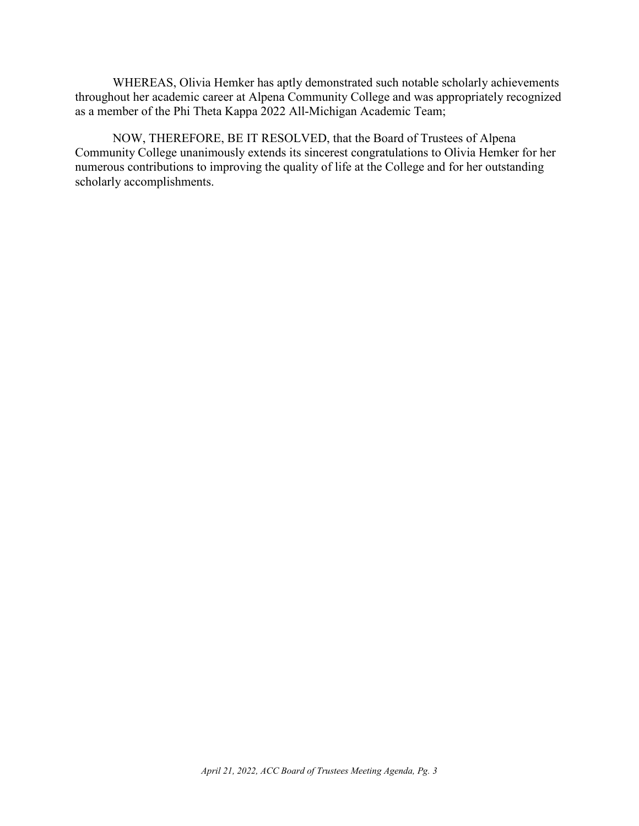WHEREAS, Olivia Hemker has aptly demonstrated such notable scholarly achievements throughout her academic career at Alpena Community College and was appropriately recognized as a member of the Phi Theta Kappa 2022 All-Michigan Academic Team;

NOW, THEREFORE, BE IT RESOLVED, that the Board of Trustees of Alpena Community College unanimously extends its sincerest congratulations to Olivia Hemker for her numerous contributions to improving the quality of life at the College and for her outstanding scholarly accomplishments.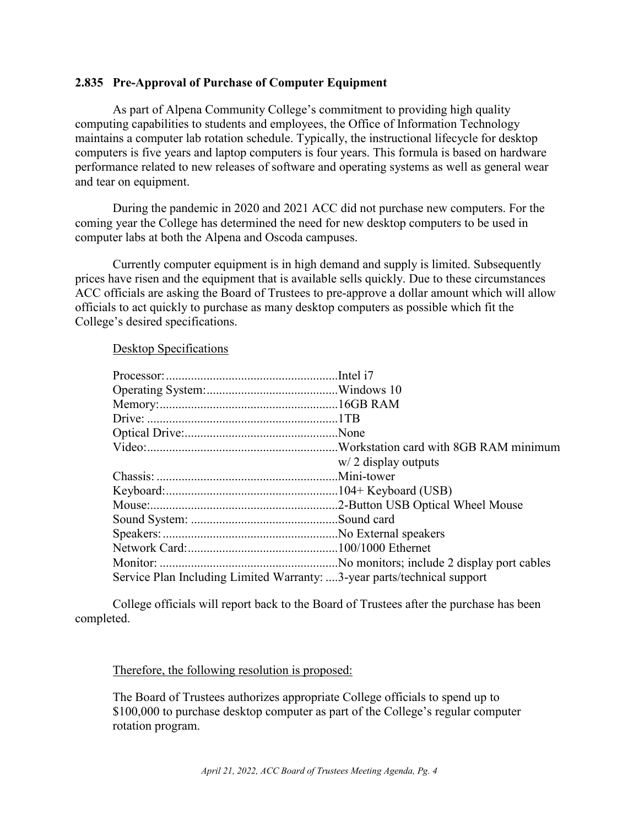### <span id="page-4-0"></span>**2.835 Pre-Approval of Purchase of Computer Equipment**

As part of Alpena Community College's commitment to providing high quality computing capabilities to students and employees, the Office of Information Technology maintains a computer lab rotation schedule. Typically, the instructional lifecycle for desktop computers is five years and laptop computers is four years. This formula is based on hardware performance related to new releases of software and operating systems as well as general wear and tear on equipment.

During the pandemic in 2020 and 2021 ACC did not purchase new computers. For the coming year the College has determined the need for new desktop computers to be used in computer labs at both the Alpena and Oscoda campuses.

Currently computer equipment is in high demand and supply is limited. Subsequently prices have risen and the equipment that is available sells quickly. Due to these circumstances ACC officials are asking the Board of Trustees to pre-approve a dollar amount which will allow officials to act quickly to purchase as many desktop computers as possible which fit the College's desired specifications.

#### Desktop Specifications

|                                                                         | $w/2$ display outputs |
|-------------------------------------------------------------------------|-----------------------|
|                                                                         |                       |
|                                                                         |                       |
|                                                                         |                       |
|                                                                         |                       |
|                                                                         |                       |
|                                                                         |                       |
|                                                                         |                       |
| Service Plan Including Limited Warranty: 3-year parts/technical support |                       |

College officials will report back to the Board of Trustees after the purchase has been completed.

Therefore, the following resolution is proposed:

The Board of Trustees authorizes appropriate College officials to spend up to \$100,000 to purchase desktop computer as part of the College's regular computer rotation program.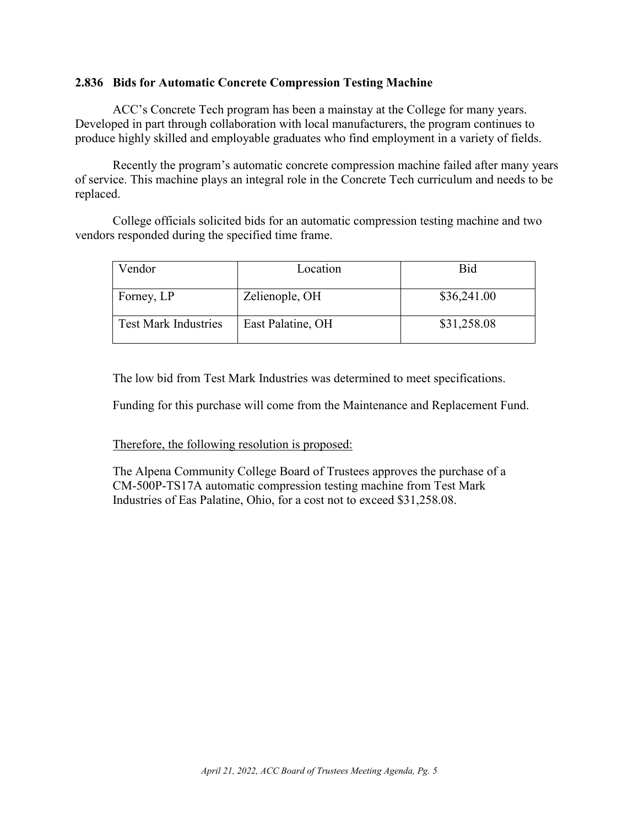### <span id="page-5-0"></span>**2.836 Bids for Automatic Concrete Compression Testing Machine**

ACC's Concrete Tech program has been a mainstay at the College for many years. Developed in part through collaboration with local manufacturers, the program continues to produce highly skilled and employable graduates who find employment in a variety of fields.

Recently the program's automatic concrete compression machine failed after many years of service. This machine plays an integral role in the Concrete Tech curriculum and needs to be replaced.

College officials solicited bids for an automatic compression testing machine and two vendors responded during the specified time frame.

| √endor                      | Location          | <b>Bid</b>  |
|-----------------------------|-------------------|-------------|
| Forney, LP                  | Zelienople, OH    | \$36,241.00 |
| <b>Test Mark Industries</b> | East Palatine, OH | \$31,258.08 |

The low bid from Test Mark Industries was determined to meet specifications.

Funding for this purchase will come from the Maintenance and Replacement Fund.

Therefore, the following resolution is proposed:

The Alpena Community College Board of Trustees approves the purchase of a CM-500P-TS17A automatic compression testing machine from Test Mark Industries of Eas Palatine, Ohio, for a cost not to exceed \$31,258.08.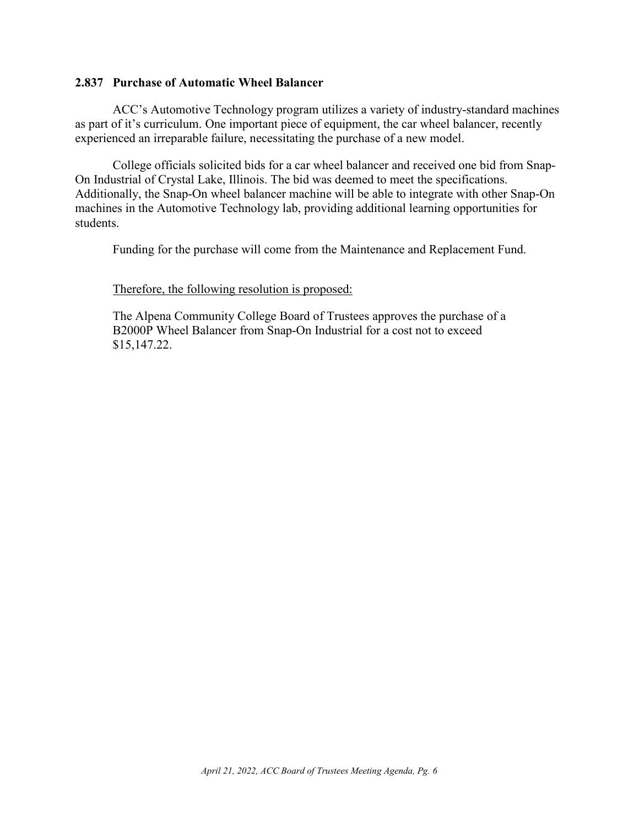#### <span id="page-6-0"></span>**2.837 Purchase of Automatic Wheel Balancer**

ACC's Automotive Technology program utilizes a variety of industry-standard machines as part of it's curriculum. One important piece of equipment, the car wheel balancer, recently experienced an irreparable failure, necessitating the purchase of a new model.

College officials solicited bids for a car wheel balancer and received one bid from Snap-On Industrial of Crystal Lake, Illinois. The bid was deemed to meet the specifications. Additionally, the Snap-On wheel balancer machine will be able to integrate with other Snap-On machines in the Automotive Technology lab, providing additional learning opportunities for students.

Funding for the purchase will come from the Maintenance and Replacement Fund.

#### Therefore, the following resolution is proposed:

The Alpena Community College Board of Trustees approves the purchase of a B2000P Wheel Balancer from Snap-On Industrial for a cost not to exceed \$15,147.22.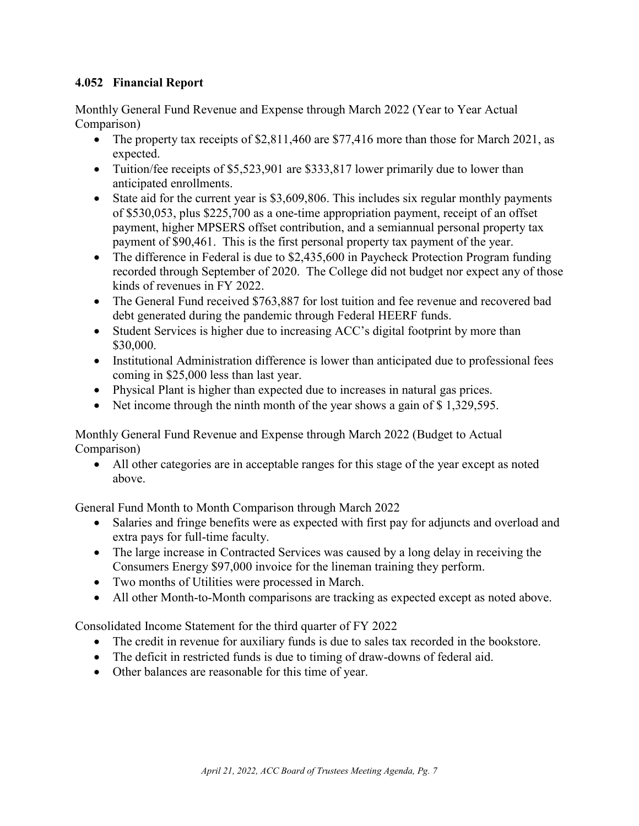# <span id="page-7-0"></span>**4.052 Financial Report**

Monthly General Fund Revenue and Expense through March 2022 (Year to Year Actual Comparison)

- The property tax receipts of \$2,811,460 are \$77,416 more than those for March 2021, as expected.
- Tuition/fee receipts of \$5,523,901 are \$333,817 lower primarily due to lower than anticipated enrollments.
- State aid for the current year is \$3,609,806. This includes six regular monthly payments of \$530,053, plus \$225,700 as a one-time appropriation payment, receipt of an offset payment, higher MPSERS offset contribution, and a semiannual personal property tax payment of \$90,461. This is the first personal property tax payment of the year.
- The difference in Federal is due to \$2,435,600 in Paycheck Protection Program funding recorded through September of 2020. The College did not budget nor expect any of those kinds of revenues in FY 2022.
- The General Fund received \$763,887 for lost tuition and fee revenue and recovered bad debt generated during the pandemic through Federal HEERF funds.
- Student Services is higher due to increasing ACC's digital footprint by more than \$30,000.
- Institutional Administration difference is lower than anticipated due to professional fees coming in \$25,000 less than last year.
- Physical Plant is higher than expected due to increases in natural gas prices.
- Net income through the ninth month of the year shows a gain of \$1,329,595.

Monthly General Fund Revenue and Expense through March 2022 (Budget to Actual Comparison)

• All other categories are in acceptable ranges for this stage of the year except as noted above.

General Fund Month to Month Comparison through March 2022

- Salaries and fringe benefits were as expected with first pay for adjuncts and overload and extra pays for full-time faculty.
- The large increase in Contracted Services was caused by a long delay in receiving the Consumers Energy \$97,000 invoice for the lineman training they perform.
- Two months of Utilities were processed in March.
- All other Month-to-Month comparisons are tracking as expected except as noted above.

Consolidated Income Statement for the third quarter of FY 2022

- The credit in revenue for auxiliary funds is due to sales tax recorded in the bookstore.
- The deficit in restricted funds is due to timing of draw-downs of federal aid.
- Other balances are reasonable for this time of year.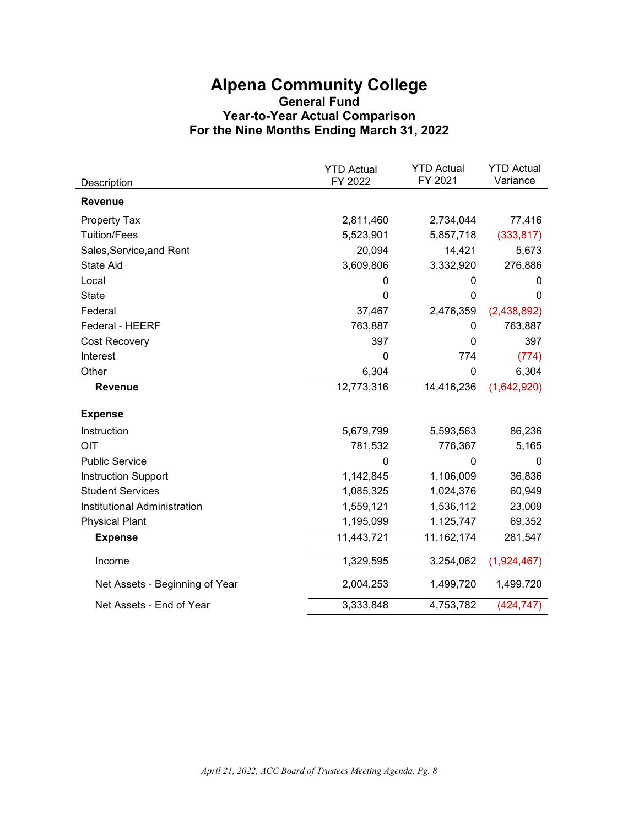# **Alpena Community College General Fund Year-to-Year Actual Comparison For the Nine Months Ending March 31, 2022**

|                                | <b>YTD Actual</b> | <b>YTD Actual</b><br>FY 2021 | <b>YTD Actual</b><br>Variance |
|--------------------------------|-------------------|------------------------------|-------------------------------|
| Description                    | FY 2022           |                              |                               |
| <b>Revenue</b>                 |                   |                              |                               |
| Property Tax                   | 2,811,460         | 2,734,044                    | 77,416                        |
| <b>Tuition/Fees</b>            | 5,523,901         | 5,857,718                    | (333, 817)                    |
| Sales, Service, and Rent       | 20,094            | 14,421                       | 5,673                         |
| <b>State Aid</b>               | 3,609,806         | 3,332,920                    | 276,886                       |
| Local                          | 0                 | 0                            | 0                             |
| <b>State</b>                   | $\mathbf 0$       | 0                            | $\mathbf{0}$                  |
| Federal                        | 37,467            | 2,476,359                    | (2,438,892)                   |
| Federal - HEERF                | 763,887           | 0                            | 763,887                       |
| Cost Recovery                  | 397               | $\Omega$                     | 397                           |
| Interest                       | 0                 | 774                          | (774)                         |
| Other                          | 6,304             | 0                            | 6,304                         |
| Revenue                        | 12,773,316        | 14,416,236                   | (1,642,920)                   |
| <b>Expense</b>                 |                   |                              |                               |
| Instruction                    | 5,679,799         | 5,593,563                    | 86,236                        |
| OIT                            | 781,532           | 776,367                      | 5,165                         |
| <b>Public Service</b>          | 0                 | 0                            | 0                             |
| <b>Instruction Support</b>     | 1,142,845         | 1,106,009                    | 36,836                        |
| <b>Student Services</b>        | 1,085,325         | 1,024,376                    | 60,949                        |
| Institutional Administration   | 1,559,121         | 1,536,112                    | 23,009                        |
| <b>Physical Plant</b>          | 1,195,099         | 1,125,747                    | 69,352                        |
| <b>Expense</b>                 | 11,443,721        | 11, 162, 174                 | 281,547                       |
| Income                         | 1,329,595         | 3,254,062                    | (1,924,467)                   |
| Net Assets - Beginning of Year | 2,004,253         | 1,499,720                    | 1,499,720                     |
| Net Assets - End of Year       | 3,333,848         | 4,753,782                    | (424, 747)                    |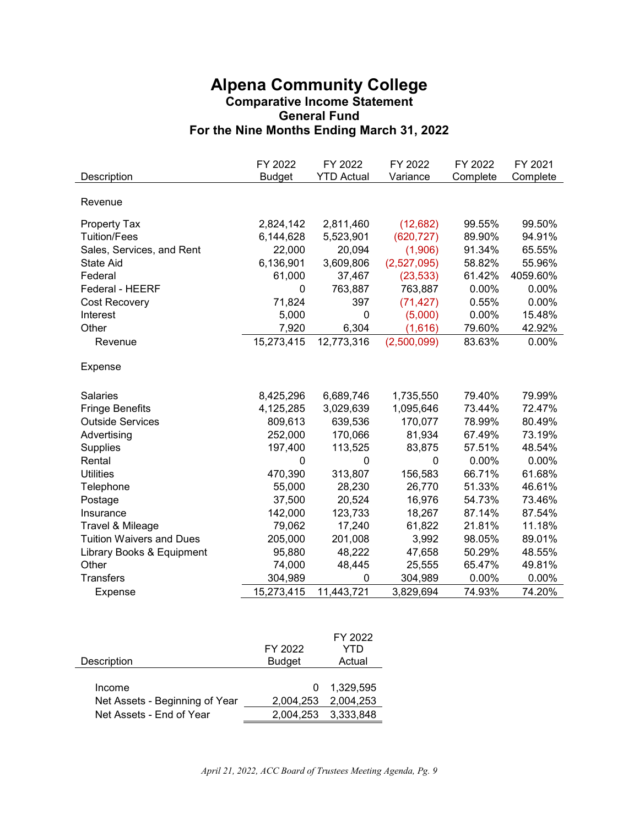# **Alpena Community College Comparative Income Statement General Fund For the Nine Months Ending March 31, 2022**

| Description                     | FY 2022<br><b>Budget</b> | FY 2022<br><b>YTD Actual</b> | FY 2022<br>Variance | FY 2022<br>Complete | FY 2021<br>Complete |
|---------------------------------|--------------------------|------------------------------|---------------------|---------------------|---------------------|
|                                 |                          |                              |                     |                     |                     |
| Revenue                         |                          |                              |                     |                     |                     |
| Property Tax                    | 2,824,142                | 2,811,460                    | (12, 682)           | 99.55%              | 99.50%              |
| <b>Tuition/Fees</b>             | 6,144,628                | 5,523,901                    | (620, 727)          | 89.90%              | 94.91%              |
| Sales, Services, and Rent       | 22,000                   | 20,094                       | (1,906)             | 91.34%              | 65.55%              |
| <b>State Aid</b>                | 6,136,901                | 3,609,806                    | (2,527,095)         | 58.82%              | 55.96%              |
| Federal                         | 61,000                   | 37,467                       | (23, 533)           | 61.42%              | 4059.60%            |
| Federal - HEERF                 | 0                        | 763,887                      | 763,887             | 0.00%               | 0.00%               |
| Cost Recovery                   | 71,824                   | 397                          | (71, 427)           | 0.55%               | 0.00%               |
| Interest                        | 5,000                    | 0                            | (5,000)             | 0.00%               | 15.48%              |
| Other                           | 7,920                    | 6,304                        | (1,616)             | 79.60%              | 42.92%              |
| Revenue                         | 15,273,415               | 12,773,316                   | (2,500,099)         | 83.63%              | 0.00%               |
| Expense                         |                          |                              |                     |                     |                     |
| <b>Salaries</b>                 | 8,425,296                | 6,689,746                    | 1,735,550           | 79.40%              | 79.99%              |
| <b>Fringe Benefits</b>          | 4,125,285                | 3,029,639                    | 1,095,646           | 73.44%              | 72.47%              |
| <b>Outside Services</b>         | 809,613                  | 639,536                      | 170,077             | 78.99%              | 80.49%              |
| Advertising                     | 252,000                  | 170,066                      | 81,934              | 67.49%              | 73.19%              |
| <b>Supplies</b>                 | 197,400                  | 113,525                      | 83,875              | 57.51%              | 48.54%              |
| Rental                          | 0                        | $\mathbf 0$                  | $\Omega$            | 0.00%               | 0.00%               |
| <b>Utilities</b>                | 470,390                  | 313,807                      | 156,583             | 66.71%              | 61.68%              |
| Telephone                       | 55,000                   | 28,230                       | 26,770              | 51.33%              | 46.61%              |
| Postage                         | 37,500                   | 20,524                       | 16,976              | 54.73%              | 73.46%              |
| Insurance                       | 142,000                  | 123,733                      | 18,267              | 87.14%              | 87.54%              |
| Travel & Mileage                | 79,062                   | 17,240                       | 61,822              | 21.81%              | 11.18%              |
| <b>Tuition Waivers and Dues</b> | 205,000                  | 201,008                      | 3,992               | 98.05%              | 89.01%              |
| Library Books & Equipment       | 95,880                   | 48,222                       | 47,658              | 50.29%              | 48.55%              |
| Other                           | 74,000                   | 48,445                       | 25,555              | 65.47%              | 49.81%              |
| <b>Transfers</b>                | 304,989                  | $\mathbf 0$                  | 304,989             | 0.00%               | 0.00%               |
| Expense                         | 15,273,415               | 11,443,721                   | 3,829,694           | 74.93%              | 74.20%              |

|                                |                     | FY 2022             |
|--------------------------------|---------------------|---------------------|
|                                | FY 2022             | YTD                 |
| Description                    | <b>Budget</b>       | Actual              |
|                                |                     |                     |
| Income                         | $\Omega$            | 1.329.595           |
| Net Assets - Beginning of Year |                     | 2,004,253 2,004,253 |
| Net Assets - End of Year       | 2,004,253 3,333,848 |                     |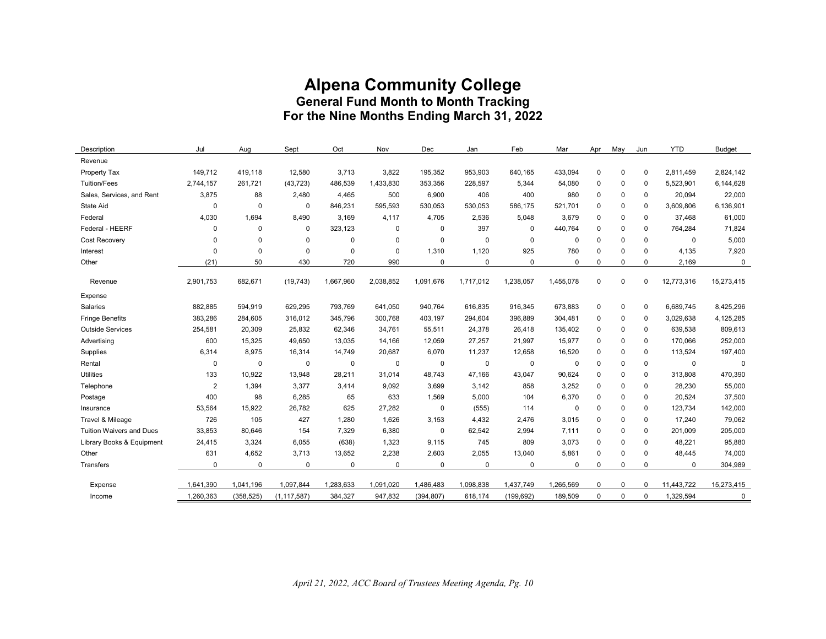# **Alpena Community College General Fund Month to Month Tracking For the Nine Months Ending March 31, 2022**

| Description                     | Jul         | Aug         | Sept          | Oct         | Nov         | Dec         | Jan         | Feb         | Mar       | Apr         | May         | Jun         | <b>YTD</b>  | <b>Budget</b> |
|---------------------------------|-------------|-------------|---------------|-------------|-------------|-------------|-------------|-------------|-----------|-------------|-------------|-------------|-------------|---------------|
| Revenue                         |             |             |               |             |             |             |             |             |           |             |             |             |             |               |
| Property Tax                    | 149.712     | 419.118     | 12,580        | 3,713       | 3,822       | 195,352     | 953.903     | 640,165     | 433.094   | $\mathbf 0$ | $\mathbf 0$ | $\mathbf 0$ | 2.811.459   | 2,824,142     |
| <b>Tuition/Fees</b>             | 2,744,157   | 261,721     | (43, 723)     | 486,539     | 1,433,830   | 353,356     | 228,597     | 5,344       | 54,080    | 0           | 0           | 0           | 5,523,901   | 6,144,628     |
| Sales, Services, and Rent       | 3,875       | 88          | 2,480         | 4,465       | 500         | 6,900       | 406         | 400         | 980       | 0           | 0           | 0           | 20,094      | 22,000        |
| State Aid                       | $\mathbf 0$ | $\mathbf 0$ | $\mathbf 0$   | 846,231     | 595.593     | 530,053     | 530,053     | 586,175     | 521.701   | 0           | $\Omega$    | 0           | 3,609,806   | 6,136,901     |
| Federal                         | 4,030       | 1,694       | 8,490         | 3,169       | 4,117       | 4,705       | 2,536       | 5,048       | 3,679     | 0           | 0           | 0           | 37,468      | 61,000        |
| Federal - HEERF                 | 0           | 0           | $\mathbf 0$   | 323,123     | $\mathbf 0$ | $\mathbf 0$ | 397         | $\mathbf 0$ | 440.764   | $\mathbf 0$ | 0           | $\mathbf 0$ | 764,284     | 71,824        |
| Cost Recovery                   | $\mathbf 0$ | $\mathbf 0$ | $\mathbf 0$   | 0           | $\mathbf 0$ | $\mathbf 0$ | $\mathbf 0$ | $\mathbf 0$ | 0         | $\mathbf 0$ | $\Omega$    | $\Omega$    | $\mathbf 0$ | 5,000         |
| Interest                        | $\mathbf 0$ | 0           | $\Omega$      | $\mathbf 0$ | $\mathbf 0$ | 1,310       | 1,120       | 925         | 780       | $\mathbf 0$ | $\Omega$    | $\Omega$    | 4,135       | 7,920         |
| Other                           | (21)        | 50          | 430           | 720         | 990         | $\mathbf 0$ | $\Omega$    | $\mathbf 0$ | 0         | 0           | $\Omega$    | 0           | 2,169       | $\mathsf 0$   |
| Revenue                         | 2,901,753   | 682,671     | (19, 743)     | 1,667,960   | 2,038,852   | 1,091,676   | 1,717,012   | 1,238,057   | 1,455,078 | $\mathbf 0$ | $\mathbf 0$ | $\mathbf 0$ | 12,773,316  | 15,273,415    |
| Expense                         |             |             |               |             |             |             |             |             |           |             |             |             |             |               |
| Salaries                        | 882,885     | 594,919     | 629,295       | 793,769     | 641,050     | 940,764     | 616,835     | 916,345     | 673,883   | $\mathbf 0$ | $\mathbf 0$ | $\mathbf 0$ | 6,689,745   | 8,425,296     |
| <b>Fringe Benefits</b>          | 383,286     | 284,605     | 316,012       | 345,796     | 300,768     | 403,197     | 294,604     | 396,889     | 304,481   | $\mathbf 0$ | $\mathbf 0$ | $\mathbf 0$ | 3,029,638   | 4,125,285     |
| <b>Outside Services</b>         | 254,581     | 20,309      | 25,832        | 62,346      | 34,761      | 55,511      | 24,378      | 26,418      | 135,402   | $\mathbf 0$ | $\mathbf 0$ | $\Omega$    | 639,538     | 809,613       |
| Advertising                     | 600         | 15,325      | 49,650        | 13,035      | 14,166      | 12,059      | 27,257      | 21,997      | 15,977    | 0           | 0           | $\mathbf 0$ | 170,066     | 252,000       |
| Supplies                        | 6,314       | 8,975       | 16,314        | 14,749      | 20,687      | 6,070       | 11,237      | 12,658      | 16,520    | 0           | $\Omega$    | 0           | 113,524     | 197,400       |
| Rental                          | $\mathbf 0$ | $\mathbf 0$ | $\mathbf 0$   | $\mathbf 0$ | $\mathsf 0$ | $\mathbf 0$ | $\mathbf 0$ | $\mathbf 0$ | 0         | $\mathbf 0$ | 0           | $\mathbf 0$ | $\mathbf 0$ | $\mathbf 0$   |
| Utilities                       | 133         | 10,922      | 13,948        | 28,211      | 31,014      | 48,743      | 47,166      | 43,047      | 90,624    | 0           | $\Omega$    | $\Omega$    | 313,808     | 470,390       |
| Telephone                       | 2           | 1,394       | 3,377         | 3,414       | 9,092       | 3,699       | 3,142       | 858         | 3,252     | 0           | $\Omega$    | $\Omega$    | 28,230      | 55,000        |
| Postage                         | 400         | 98          | 6,285         | 65          | 633         | 1,569       | 5,000       | 104         | 6,370     | $\mathbf 0$ | $\Omega$    | $\Omega$    | 20,524      | 37,500        |
| Insurance                       | 53,564      | 15,922      | 26,782        | 625         | 27,282      | $\mathbf 0$ | (555)       | 114         | 0         | $\mathbf 0$ | 0           | 0           | 123,734     | 142,000       |
| Travel & Mileage                | 726         | 105         | 427           | 1,280       | 1.626       | 3,153       | 4.432       | 2.476       | 3.015     | $\mathbf 0$ | $\Omega$    | $\mathbf 0$ | 17,240      | 79,062        |
| <b>Tuition Waivers and Dues</b> | 33,853      | 80,646      | 154           | 7,329       | 6,380       | $\mathbf 0$ | 62,542      | 2,994       | 7,111     | 0           | $\Omega$    | $\mathbf 0$ | 201,009     | 205,000       |
| Library Books & Equipment       | 24,415      | 3,324       | 6,055         | (638)       | 1,323       | 9,115       | 745         | 809         | 3.073     | $\mathbf 0$ | $\Omega$    | 0           | 48,221      | 95,880        |
| Other                           | 631         | 4,652       | 3,713         | 13,652      | 2,238       | 2,603       | 2,055       | 13,040      | 5,861     | 0           | $\Omega$    | $\Omega$    | 48,445      | 74,000        |
| Transfers                       | $\Omega$    | $\mathbf 0$ | $\Omega$      | $\mathbf 0$ | $\mathbf 0$ | $\mathbf 0$ | $\Omega$    | $\mathbf 0$ | $\Omega$  | $\mathbf 0$ | $\Omega$    | $\Omega$    | $\mathbf 0$ | 304,989       |
|                                 |             |             |               |             |             |             |             |             |           |             |             |             |             |               |
| Expense                         | 1,641,390   | 1,041,196   | 1,097,844     | 1,283,633   | 1,091,020   | 1,486,483   | 1,098,838   | 1,437,749   | 1,265,569 | 0           | $\Omega$    | 0           | 11,443,722  | 15,273,415    |
| Income                          | 1,260,363   | (358, 525)  | (1, 117, 587) | 384,327     | 947,832     | (394, 807)  | 618,174     | (199, 692)  | 189,509   | $\mathbf 0$ | $\mathbf 0$ | 0           | 1,329,594   | 0             |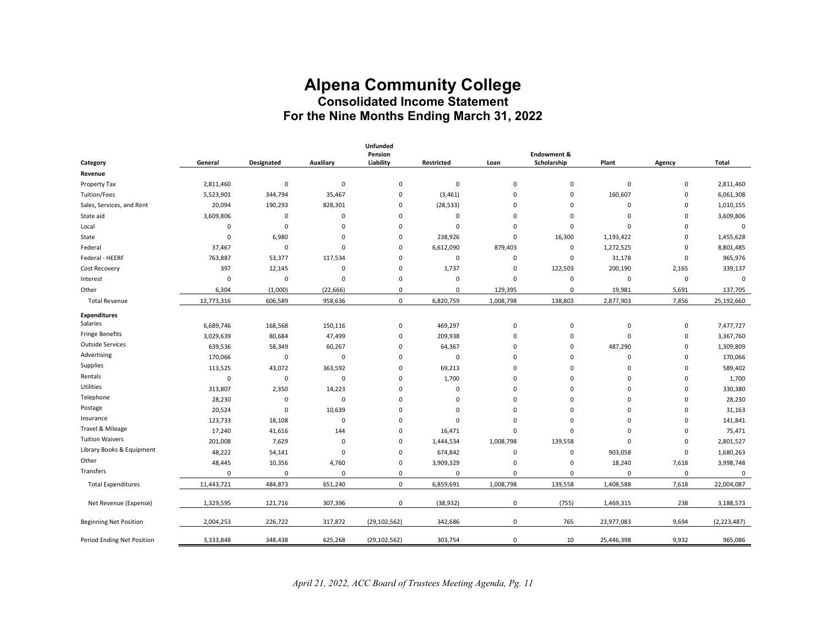# **Alpena Community College Consolidated Income Statement For the Nine Months Ending March 31, 2022**

|                               |             |             |           | Unfunded<br>Pension |                   |             | Endowment & |             |             |               |
|-------------------------------|-------------|-------------|-----------|---------------------|-------------------|-------------|-------------|-------------|-------------|---------------|
| Category                      | General     | Designated  | Auxiliary | Liability           | <b>Restricted</b> | Loan        | Scholarship | Plant       | Agency      | Total         |
| Revenue                       |             |             |           |                     |                   |             |             |             |             |               |
| Property Tax                  | 2,811,460   | $\pmb{0}$   | 0         | $\mathbf 0$         | $\mathbf 0$       | $\pmb{0}$   | 0           | 0           | 0           | 2,811,460     |
| Tuition/Fees                  | 5,523,901   | 344,794     | 35,467    | 0                   | (3, 461)          | 0           | 0           | 160,607     | 0           | 6,061,308     |
| Sales, Services, and Rent     | 20,094      | 190,293     | 828,301   | 0                   | (28, 533)         | $\Omega$    | $\mathbf 0$ | 0           | $\mathbf 0$ | 1,010,155     |
| State aid                     | 3,609,806   | $\pmb{0}$   | 0         | 0                   | $\overline{0}$    | $\mathbf 0$ | $\mathbf 0$ | 0           | $\mathbf 0$ | 3,609,806     |
| Local                         | 0           | $\pmb{0}$   | 0         | $\mathbf 0$         | $\overline{0}$    | 0           | $\mathbf 0$ | 0           | $\mathbf 0$ | $\pmb{0}$     |
| State                         | 0           | 6,980       | 0         | $\mathbf 0$         | 238,926           | 0           | 16,300      | 1,193,422   | $\mathbf 0$ | 1,455,628     |
| Federal                       | 37,467      | $\mathbf 0$ | 0         | $\mathbf 0$         | 6,612,090         | 879,403     | 0           | 1,272,525   | $\mathbf 0$ | 8,801,485     |
| Federal - HEERF               | 763,887     | 53,377      | 117,534   | $\mathbf 0$         | $\mathbf 0$       | 0           | $\mathbf 0$ | 31,178      | $\mathbf 0$ | 965,976       |
| Cost Recovery                 | 397         | 12,145      | 0         | $\mathbf 0$         | 1,737             | $\mathbf 0$ | 122,503     | 200,190     | 2,165       | 339,137       |
| Interest                      | $\mathbf 0$ | 0           | 0         | $\mathbf 0$         | $\mathbf 0$       | $\mathbf 0$ | $\mathbf 0$ | 0           | $\mathbf 0$ | $\mathbf 0$   |
| Other                         | 6,304       | (1,000)     | (22, 666) | $\Omega$            | 0                 | 129,395     | $\Omega$    | 19,981      | 5,691       | 137,705       |
| <b>Total Revenue</b>          | 12,773,316  | 606,589     | 958,636   | 0                   | 6,820,759         | 1,008,798   | 138,803     | 2,877,903   | 7,856       | 25,192,660    |
| <b>Expenditures</b>           |             |             |           |                     |                   |             |             |             |             |               |
| Salaries                      | 6,689,746   | 168,568     | 150,116   | 0                   | 469,297           | $\pmb{0}$   | $\pmb{0}$   | 0           | $\mathsf 0$ | 7,477,727     |
| <b>Fringe Benefits</b>        | 3,029,639   | 80,684      | 47,499    | $\mathbf 0$         | 209,938           | 0           | 0           | 0           | $\mathsf 0$ | 3,367,760     |
| <b>Outside Services</b>       | 639,536     | 58,349      | 60,267    | 0                   | 64,367            | 0           | 0           | 487,290     | 0           | 1,309,809     |
| Advertising                   | 170,066     | $\pmb{0}$   | 0         | 0                   | $\mathsf 0$       | $\Omega$    | $\mathbf 0$ | 0           | 0           | 170,066       |
| Supplies                      | 113,525     | 43,072      | 363,592   | $\mathbf 0$         | 69,213            | $\mathbf 0$ | $\mathbf 0$ | 0           | $\mathbf 0$ | 589,402       |
| Rentals                       | $\mathbf 0$ | $\mathbf 0$ | 0         | $\mathbf 0$         | 1,700             | 0           | $\mathbf 0$ | 0           | $\mathbf 0$ | 1,700         |
| Utilities                     | 313,807     | 2,350       | 14,223    | $\mathbf 0$         | $\mathbf 0$       | $\mathbf 0$ | $\Omega$    | 0           | $\Omega$    | 330,380       |
| Telephone                     | 28,230      | $\mathbf 0$ | 0         | $\mathbf 0$         | $\mathbf 0$       | $\mathbf 0$ | $\Omega$    | $\mathbf 0$ | $\mathbf 0$ | 28,230        |
| Postage                       | 20,524      | $\pmb{0}$   | 10,639    | $\Omega$            | $\mathbf 0$       | $\mathbf 0$ | $\Omega$    | $\mathbf 0$ | $\mathbf 0$ | 31,163        |
| Insurance                     | 123,733     | 18,108      | 0         | $\Omega$            | $\mathbf 0$       | $\mathbf 0$ | $\mathbf 0$ | 0           | $\mathbf 0$ | 141,841       |
| Travel & Mileage              | 17,240      | 41,616      | 144       | 0                   | 16,471            | $\mathbf 0$ | $\mathbf 0$ | 0           | 0           | 75,471        |
| <b>Tuition Waivers</b>        | 201,008     | 7,629       | 0         | 0                   | 1,444,534         | 1,008,798   | 139,558     | 0           | $\mathbf 0$ | 2,801,527     |
| Library Books & Equipment     | 48,222      | 54,141      | 0         | 0                   | 674,842           | 0           | 0           | 903,058     | $\mathbf 0$ | 1,680,263     |
| Other                         | 48,445      | 10,356      | 4,760     | $\mathbf 0$         | 3,909,329         | 0           | $\mathbf 0$ | 18,240      | 7,618       | 3,998,748     |
| Transfers                     | 0           | 0           | 0         | $\mathbf 0$         | $\mathsf 0$       | $\mathbf 0$ | $\mathbf 0$ | $\mathbf 0$ | $\mathbf 0$ | 0             |
| <b>Total Expenditures</b>     | 11,443,721  | 484,873     | 651,240   | 0                   | 6,859,691         | 1,008,798   | 139,558     | 1,408,588   | 7,618       | 22,004,087    |
| Net Revenue (Expense)         | 1,329,595   | 121,716     | 307,396   | 0                   | (38, 932)         | 0           | (755)       | 1,469,315   | 238         | 3,188,573     |
| <b>Beginning Net Position</b> | 2,004,253   | 226,722     | 317,872   | (29, 102, 562)      | 342,686           | $\mathbf 0$ | 765         | 23,977,083  | 9,694       | (2, 223, 487) |
| Period Ending Net Position    | 3,333,848   | 348,438     | 625,268   | (29, 102, 562)      | 303,754           | 0           | 10          | 25,446,398  | 9,932       | 965,086       |

*April 21, 2022, ACC Board of Trustees Meeting Agenda, Pg. 11*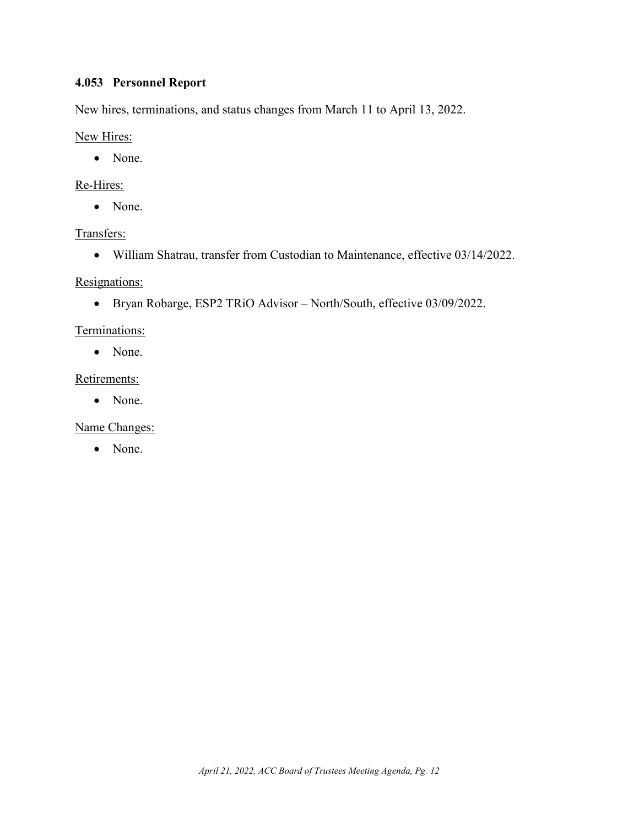# <span id="page-12-0"></span>**4.053 Personnel Report**

New hires, terminations, and status changes from March 11 to April 13, 2022.

### New Hires:

• None.

## Re-Hires:

• None.

# Transfers:

• William Shatrau, transfer from Custodian to Maintenance, effective 03/14/2022.

### Resignations:

• Bryan Robarge, ESP2 TRiO Advisor – North/South, effective 03/09/2022.

### Terminations:

• None.

# Retirements:

• None.

# Name Changes:

• None.